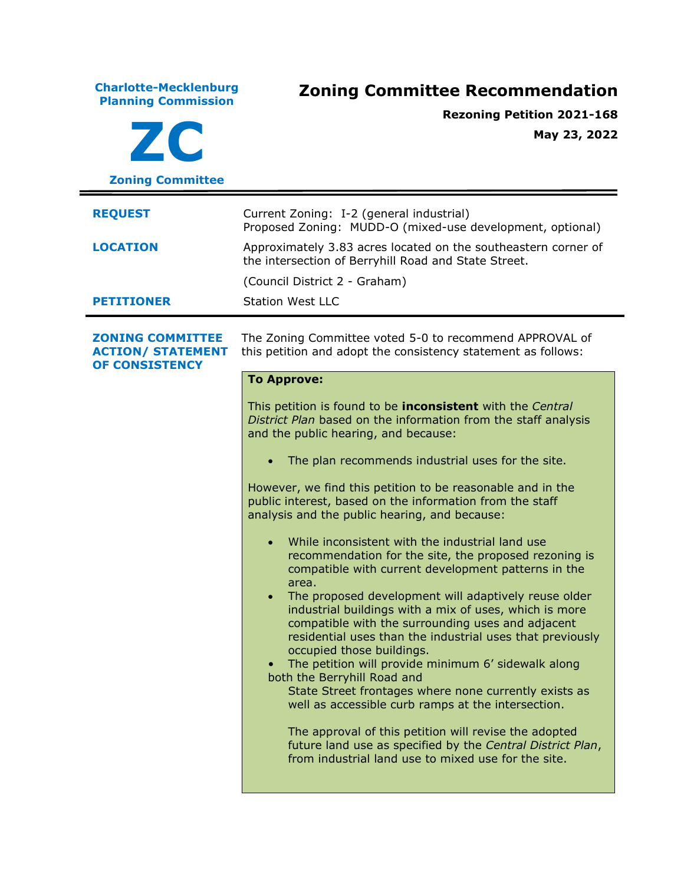**Charlotte-Mecklenburg Planning Commission Zoning Committee Recommendation ZC Zoning Committee Rezoning Petition 2021-168 May 23, 2022 REQUEST** Current Zoning: I-2 (general industrial) Proposed Zoning: MUDD-O (mixed-use development, optional) **LOCATION** Approximately 3.83 acres located on the southeastern corner of the intersection of Berryhill Road and State Street. (Council District 2 - Graham) **PETITIONER** Station West LLC **ZONING COMMITTEE ACTION/ STATEMENT OF CONSISTENCY** The Zoning Committee voted 5-0 to recommend APPROVAL of this petition and adopt the consistency statement as follows: **To Approve:** This petition is found to be **inconsistent** with the *Central District Plan* based on the information from the staff analysis and the public hearing, and because: • The plan recommends industrial uses for the site. However, we find this petition to be reasonable and in the public interest, based on the information from the staff analysis and the public hearing, and because: While inconsistent with the industrial land use recommendation for the site, the proposed rezoning is compatible with current development patterns in the area. • The proposed development will adaptively reuse older industrial buildings with a mix of uses, which is more compatible with the surrounding uses and adjacent residential uses than the industrial uses that previously occupied those buildings. • The petition will provide minimum 6' sidewalk along both the Berryhill Road and State Street frontages where none currently exists as well as accessible curb ramps at the intersection. The approval of this petition will revise the adopted future land use as specified by the *Central District Plan*, from industrial land use to mixed use for the site.